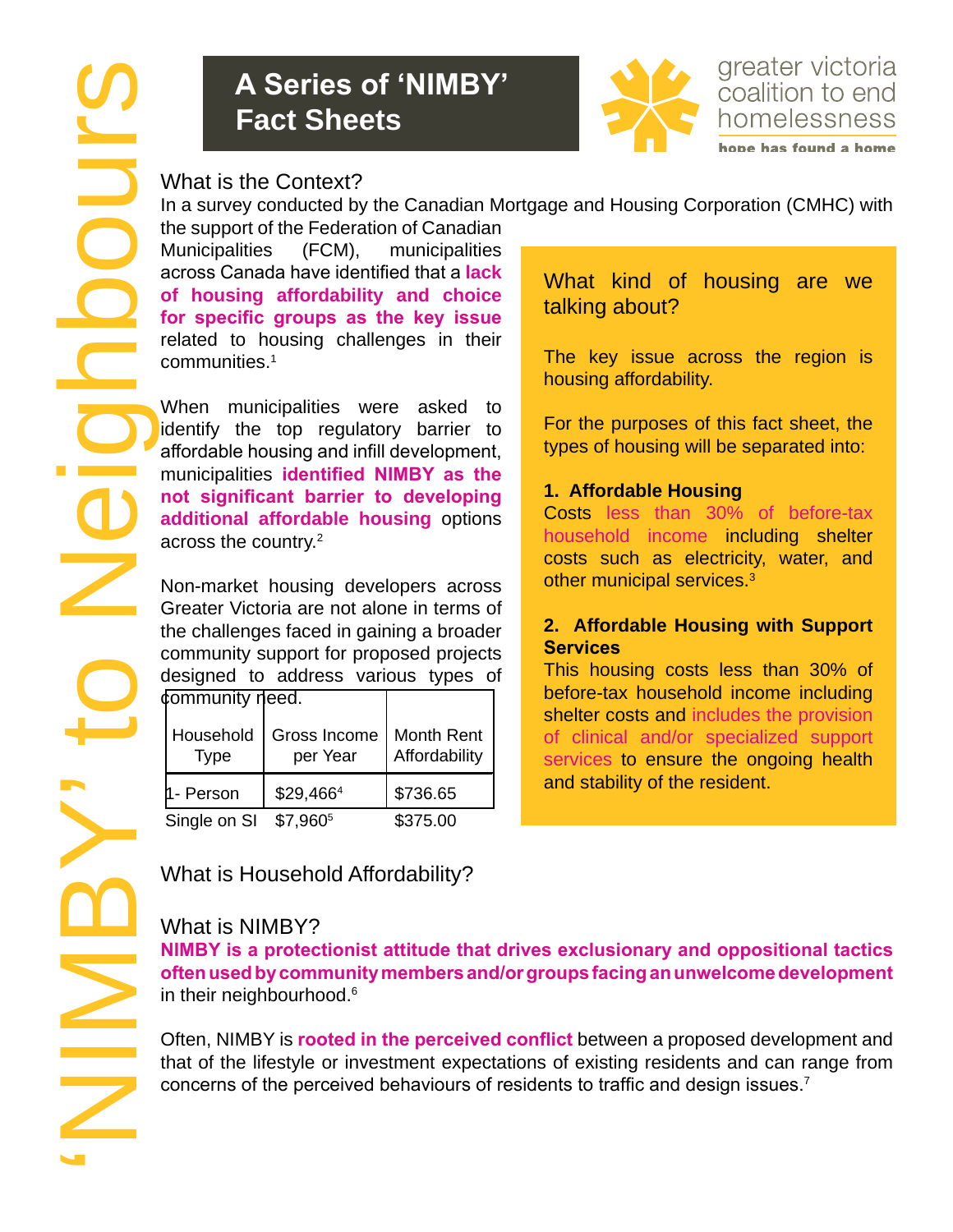# **A Series of 'NIMBY' Fact Sheets**



greater victoria coalition to end homelessness

What is the Context?

In a survey conducted by the Canadian Mortgage and Housing Corporation (CMHC) with

the support of the Federation of Canadian Municipalities (FCM), municipalities across Canada have identified that a **lack of housing affordability and choice for specific groups as the key issue** related to housing challenges in their communities.1

When municipalities were asked to identify the top regulatory barrier to affordable housing and infill development, municipalities **identified NIMBY as the not significant barrier to developing additional affordable housing** options across the country.<sup>2</sup>

Non-market housing developers across Greater Victoria are not alone in terms of the challenges faced in gaining a broader community support for proposed projects designed to address various types of community need.

| <b>VOLUTIOLILY IJOUU.</b> |                          |                             |
|---------------------------|--------------------------|-----------------------------|
| Household<br>Type         | Gross Income<br>per Year | Month Rent<br>Affordability |
| 1- Person                 | \$29,4664                | \$736.65                    |
| Single on SI              | \$7,9605                 | \$375.00                    |

What kind of housing are we talking about?

The key issue across the region is housing affordability.

For the purposes of this fact sheet, the types of housing will be separated into:

#### **1. Affordable Housing**

Costs less than 30% of before-tax household income including shelter costs such as electricity, water, and other municipal services.<sup>3</sup>

#### **2. Affordable Housing with Support Services**

This housing costs less than 30% of before-tax household income including shelter costs and includes the provision of clinical and/or specialized support services to ensure the ongoing health and stability of the resident.

What is Household Affordability?

## What is NIMBY?

**NIMBY is a protectionist attitude that drives exclusionary and oppositional tactics often used by community members and/or groups facing an unwelcome development** in their neighbourhood.<sup>6</sup>

Often, NIMBY is **rooted in the perceived conflict** between a proposed development and that of the lifestyle or investment expectations of existing residents and can range from concerns of the perceived behaviours of residents to traffic and design issues.<sup>7</sup>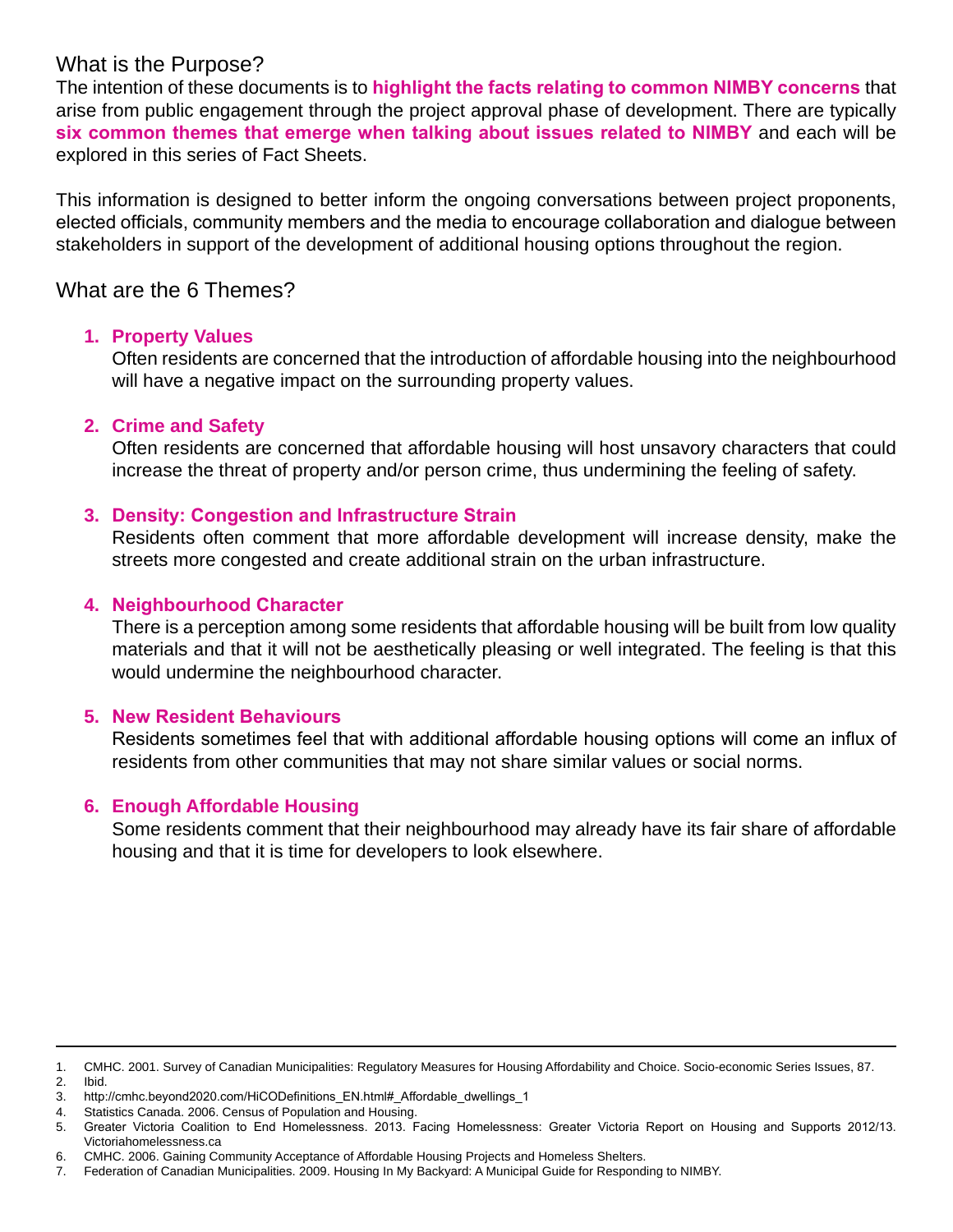### What is the Purpose?

The intention of these documents is to **highlight the facts relating to common NIMBY concerns** that arise from public engagement through the project approval phase of development. There are typically **six common themes that emerge when talking about issues related to NIMBY** and each will be explored in this series of Fact Sheets.

This information is designed to better inform the ongoing conversations between project proponents, elected officials, community members and the media to encourage collaboration and dialogue between stakeholders in support of the development of additional housing options throughout the region.

### What are the 6 Themes?

#### **1. Property Values**

Often residents are concerned that the introduction of affordable housing into the neighbourhood will have a negative impact on the surrounding property values.

#### **2. Crime and Safety**

Often residents are concerned that affordable housing will host unsavory characters that could increase the threat of property and/or person crime, thus undermining the feeling of safety.

#### **3. Density: Congestion and Infrastructure Strain**

Residents often comment that more affordable development will increase density, make the streets more congested and create additional strain on the urban infrastructure.

#### **4. Neighbourhood Character**

There is a perception among some residents that affordable housing will be built from low quality materials and that it will not be aesthetically pleasing or well integrated. The feeling is that this would undermine the neighbourhood character.

#### **5. New Resident Behaviours**

Residents sometimes feel that with additional affordable housing options will come an influx of residents from other communities that may not share similar values or social norms.

#### **6. Enough Affordable Housing**

Some residents comment that their neighbourhood may already have its fair share of affordable housing and that it is time for developers to look elsewhere.

<sup>1.</sup> CMHC. 2001. Survey of Canadian Municipalities: Regulatory Measures for Housing Affordability and Choice. Socio-economic Series Issues, 87. 2. Ibid.

<sup>3.</sup> http://cmhc.beyond2020.com/HiCODefinitions\_EN.html#\_Affordable\_dwellings\_1

<sup>4.</sup> Statistics Canada. 2006. Census of Population and Housing.

<sup>5.</sup> Greater Victoria Coalition to End Homelessness. 2013. Facing Homelessness: Greater Victoria Report on Housing and Supports 2012/13. Victoriahomelessness.ca

<sup>6.</sup> CMHC. 2006. Gaining Community Acceptance of Affordable Housing Projects and Homeless Shelters.

<sup>7.</sup> Federation of Canadian Municipalities. 2009. Housing In My Backyard: A Municipal Guide for Responding to NIMBY.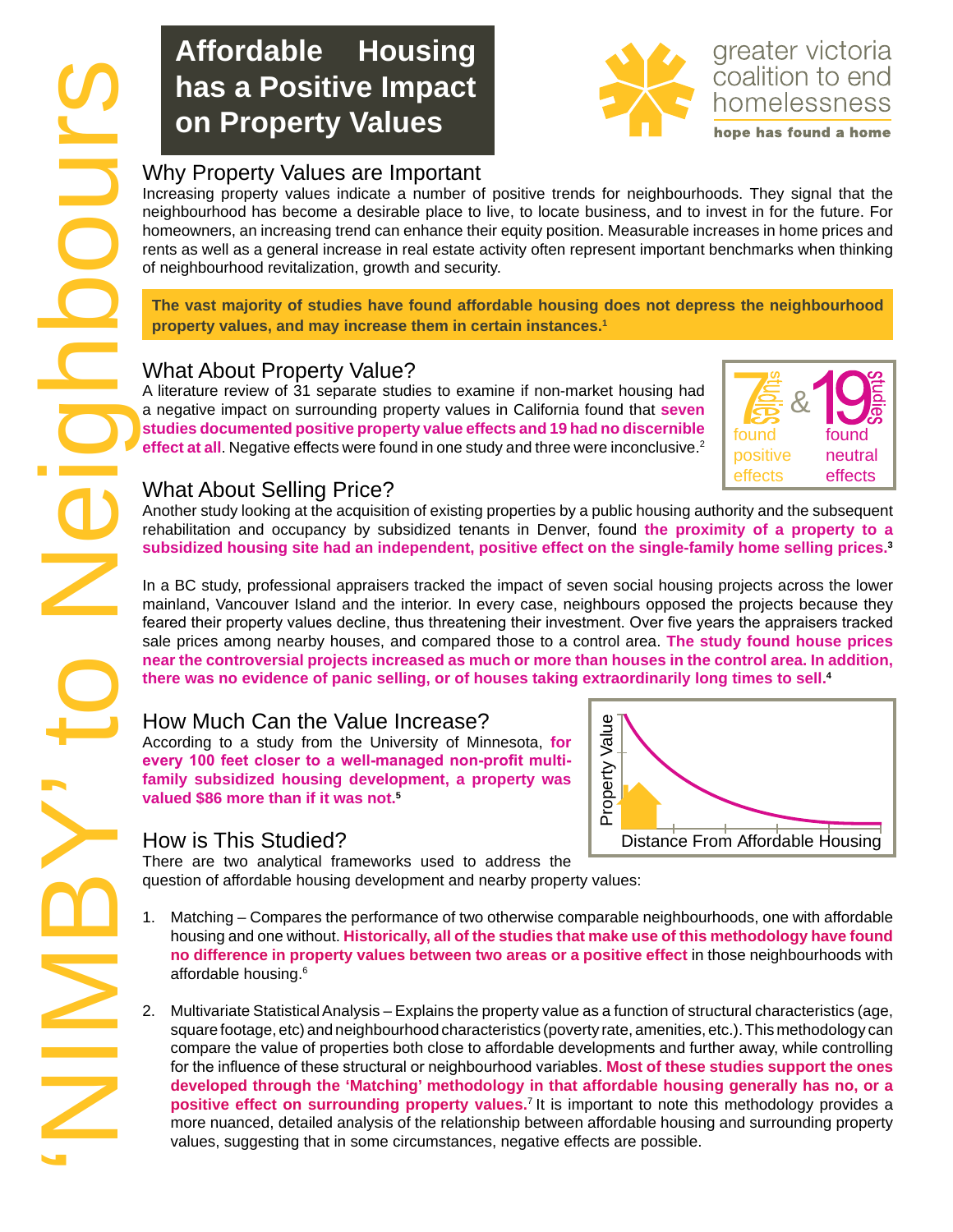# **Affordable Housing has a Positive Impact on Property Values**



Increasing property values indicate a number of positive trends for neighbourhoods. They signal that the neighbourhood has become a desirable place to live, to locate business, and to invest in for the future. For homeowners, an increasing trend can enhance their equity position. Measurable increases in home prices and rents as well as a general increase in real estate activity often represent important benchmarks when thinking of neighbourhood revitalization, growth and security.

**The vast majority of studies have found affordable housing does not depress the neighbourhood property values, and may increase them in certain instances.1**

### What About Property Value?

A literature review of 31 separate studies to examine if non-market housing had a negative impact on surrounding property values in California found that **seven studies documented positive property value effects and 19 had no discernible effect at all.** Negative effects were found in one study and three were inconclusive.<sup>2</sup>



### What About Selling Price?

Another study looking at the acquisition of existing properties by a public housing authority and the subsequent rehabilitation and occupancy by subsidized tenants in Denver, found **the proximity of a property to a subsidized housing site had an independent, positive effect on the single-family home selling prices.3**

In a BC study, professional appraisers tracked the impact of seven social housing projects across the lower mainland, Vancouver Island and the interior. In every case, neighbours opposed the projects because they feared their property values decline, thus threatening their investment. Over five years the appraisers tracked sale prices among nearby houses, and compared those to a control area. **The study found house prices near the controversial projects increased as much or more than houses in the control area. In addition, there was no evidence of panic selling, or of houses taking extraordinarily long times to sell.4**

### How Much Can the Value Increase?

According to a study from the University of Minnesota, **for every 100 feet closer to a well-managed non-profit multifamily subsidized housing development, a property was valued \$86 more than if it was not.5**

#### How is This Studied?

There are two analytical frameworks used to address the question of affordable housing development and nearby property values:

- 1. Matching Compares the performance of two otherwise comparable neighbourhoods, one with affordable housing and one without. **Historically, all of the studies that make use of this methodology have found no difference in property values between two areas or a positive effect** in those neighbourhoods with affordable housing.<sup>6</sup>
- 2. Multivariate Statistical Analysis Explains the property value as a function of structural characteristics (age, square footage, etc) and neighbourhood characteristics (poverty rate, amenities, etc.). This methodology can compare the value of properties both close to affordable developments and further away, while controlling for the influence of these structural or neighbourhood variables. **Most of these studies support the ones developed through the 'Matching' methodology in that affordable housing generally has no, or a positive effect on surrounding property values.**7 It is important to note this methodology provides a more nuanced, detailed analysis of the relationship between affordable housing and surrounding property values, suggesting that in some circumstances, negative effects are possible.

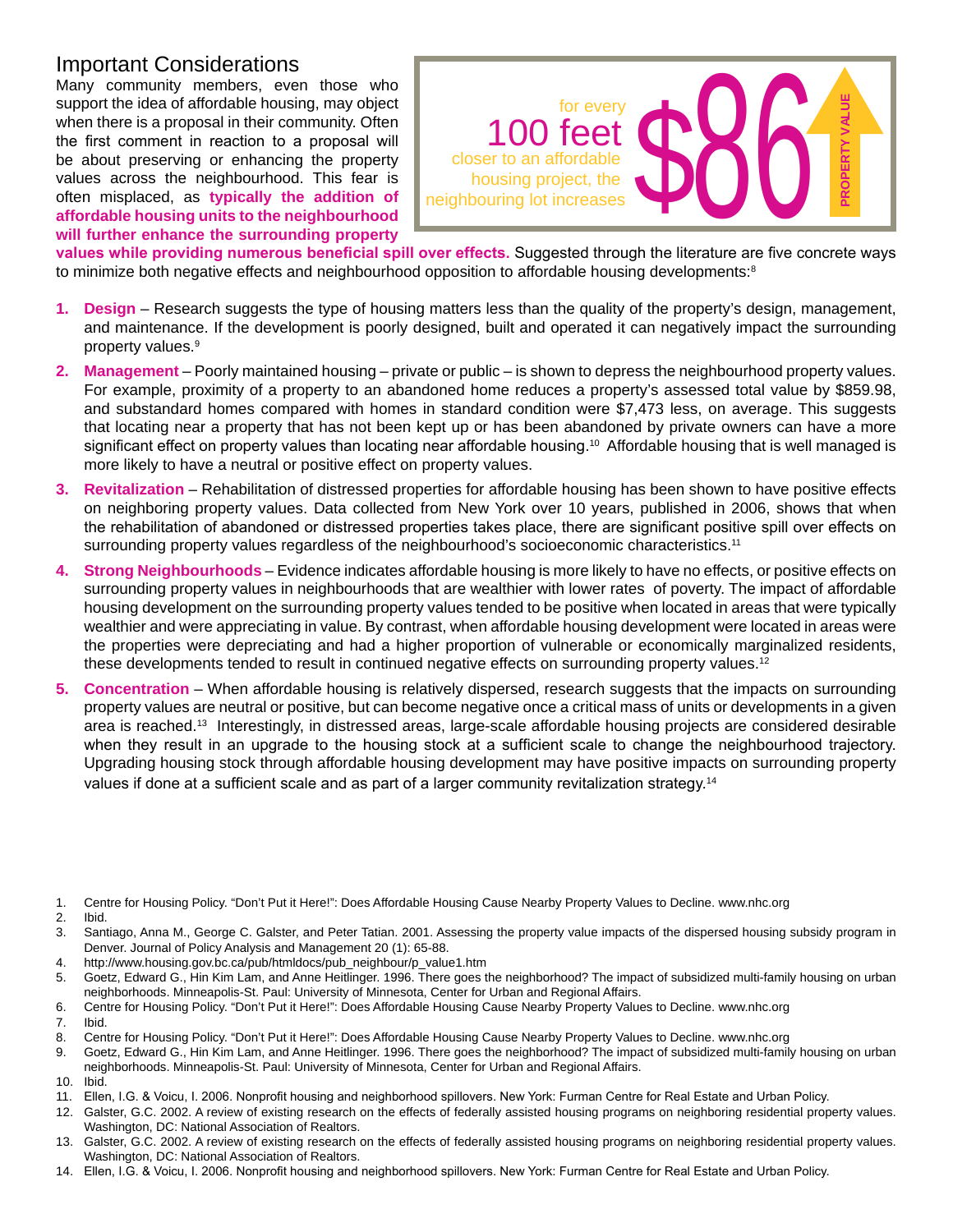#### Important Considerations

Many community members, even those who support the idea of affordable housing, may object when there is a proposal in their community. Often the first comment in reaction to a proposal will be about preserving or enhancing the property values across the neighbourhood. This fear is often misplaced, as **typically the addition of affordable housing units to the neighbourhood will further enhance the surrounding property** 



**values while providing numerous beneficial spill over effects.** Suggested through the literature are five concrete ways to minimize both negative effects and neighbourhood opposition to affordable housing developments: $^8$ 

- **1. Design** Research suggests the type of housing matters less than the quality of the property's design, management, and maintenance. If the development is poorly designed, built and operated it can negatively impact the surrounding property values.<sup>9</sup>
- **2. Management** Poorly maintained housing private or public is shown to depress the neighbourhood property values. For example, proximity of a property to an abandoned home reduces a property's assessed total value by \$859.98, and substandard homes compared with homes in standard condition were \$7,473 less, on average. This suggests that locating near a property that has not been kept up or has been abandoned by private owners can have a more significant effect on property values than locating near affordable housing.<sup>10</sup> Affordable housing that is well managed is more likely to have a neutral or positive effect on property values.
- **3. Revitalization** Rehabilitation of distressed properties for affordable housing has been shown to have positive effects on neighboring property values. Data collected from New York over 10 years, published in 2006, shows that when the rehabilitation of abandoned or distressed properties takes place, there are significant positive spill over effects on surrounding property values regardless of the neighbourhood's socioeconomic characteristics.<sup>11</sup>
- **4. Strong Neighbourhoods** Evidence indicates affordable housing is more likely to have no effects, or positive effects on surrounding property values in neighbourhoods that are wealthier with lower rates of poverty. The impact of affordable housing development on the surrounding property values tended to be positive when located in areas that were typically wealthier and were appreciating in value. By contrast, when affordable housing development were located in areas were the properties were depreciating and had a higher proportion of vulnerable or economically marginalized residents, these developments tended to result in continued negative effects on surrounding property values.<sup>12</sup>
- **5. Concentration** When affordable housing is relatively dispersed, research suggests that the impacts on surrounding property values are neutral or positive, but can become negative once a critical mass of units or developments in a given area is reached.13 Interestingly, in distressed areas, large-scale affordable housing projects are considered desirable when they result in an upgrade to the housing stock at a sufficient scale to change the neighbourhood trajectory. Upgrading housing stock through affordable housing development may have positive impacts on surrounding property values if done at a sufficient scale and as part of a larger community revitalization strategy. $^{\rm 14}$
- 1. Centre for Housing Policy. "Don't Put it Here!": Does Affordable Housing Cause Nearby Property Values to Decline. www.nhc.org

- 2. Ibid.<br>3. Sant Santiago, Anna M., George C. Galster, and Peter Tatian. 2001. Assessing the property value impacts of the dispersed housing subsidy program in Denver. Journal of Policy Analysis and Management 20 (1): 65-88.
- 4. http://www.housing.gov.bc.ca/pub/htmldocs/pub\_neighbour/p\_value1.htm
- 5. Goetz, Edward G., Hin Kim Lam, and Anne Heitlinger. 1996. There goes the neighborhood? The impact of subsidized multi-family housing on urban neighborhoods. Minneapolis-St. Paul: University of Minnesota, Center for Urban and Regional Affairs.
- 6. Centre for Housing Policy. "Don't Put it Here!": Does Affordable Housing Cause Nearby Property Values to Decline. www.nhc.org
- 7. Ibid.
- 8. Centre for Housing Policy. "Don't Put it Here!": Does Affordable Housing Cause Nearby Property Values to Decline. www.nhc.org
- 9. Goetz, Edward G., Hin Kim Lam, and Anne Heitlinger. 1996. There goes the neighborhood? The impact of subsidized multi-family housing on urban neighborhoods. Minneapolis-St. Paul: University of Minnesota, Center for Urban and Regional Affairs.
- 10. Ibid.
- 11. Ellen, I.G. & Voicu, I. 2006. Nonprofit housing and neighborhood spillovers. New York: Furman Centre for Real Estate and Urban Policy.
- 12. Galster, G.C. 2002. A review of existing research on the effects of federally assisted housing programs on neighboring residential property values. Washington, DC: National Association of Realtors.
- 13. Galster, G.C. 2002. A review of existing research on the effects of federally assisted housing programs on neighboring residential property values. Washington, DC: National Association of Realtors.
- 14. Ellen, I.G. & Voicu, I. 2006. Nonprofit housing and neighborhood spillovers. New York: Furman Centre for Real Estate and Urban Policy.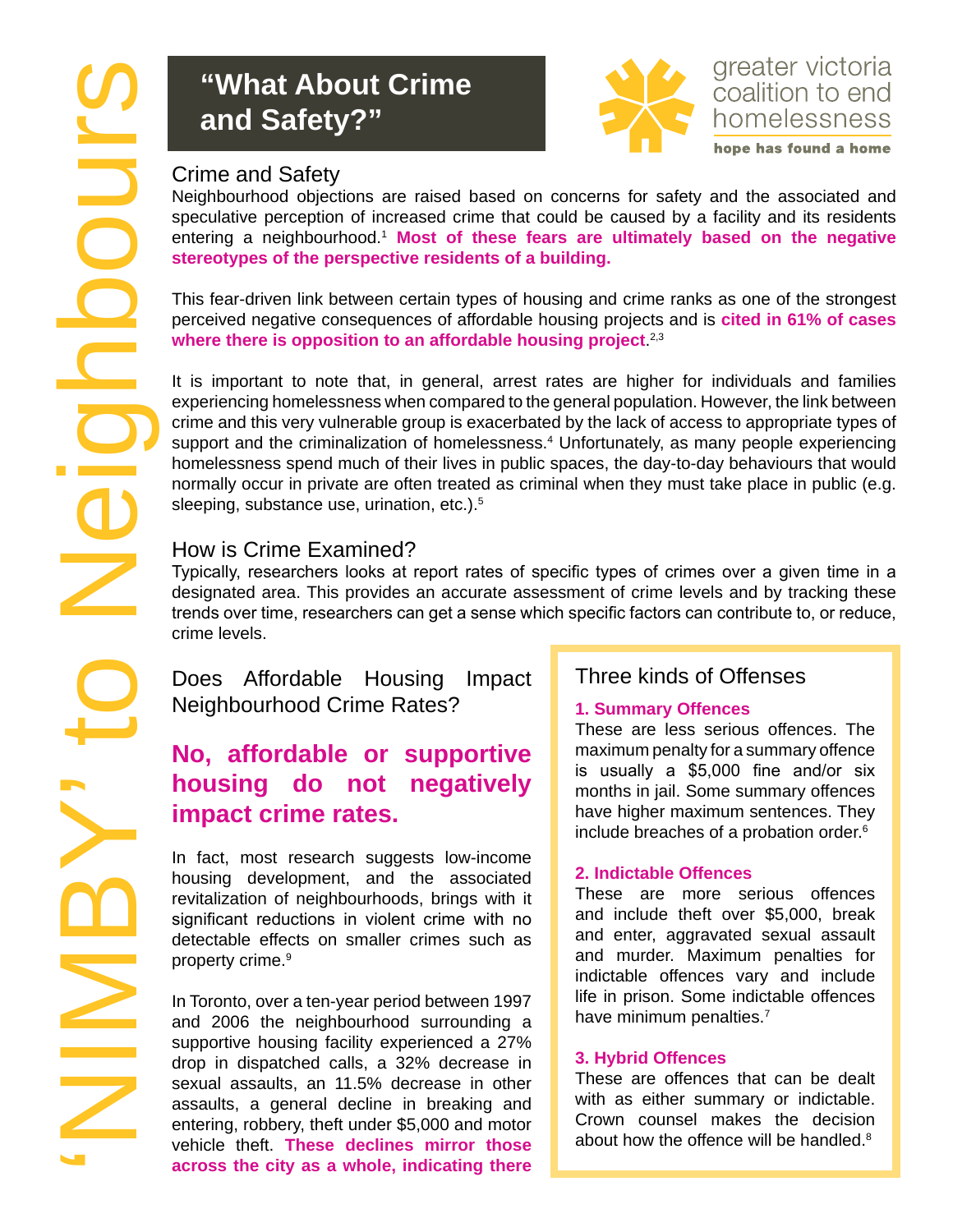# **"What About Crime and Safety?"**



## greater victoria coalition to end homelessness hope has found a home

Neighbourhood objections are raised based on concerns for safety and the associated and speculative perception of increased crime that could be caused by a facility and its residents entering a neighbourhood.<sup>1</sup> Most of these fears are ultimately based on the negative **stereotypes of the perspective residents of a building.**

This fear-driven link between certain types of housing and crime ranks as one of the strongest perceived negative consequences of affordable housing projects and is **cited in 61% of cases where there is opposition to an affordable housing project**. 2,3

It is important to note that, in general, arrest rates are higher for individuals and families experiencing homelessness when compared to the general population. However, the link between crime and this very vulnerable group is exacerbated by the lack of access to appropriate types of support and the criminalization of homelessness.<sup>4</sup> Unfortunately, as many people experiencing homelessness spend much of their lives in public spaces, the day-to-day behaviours that would normally occur in private are often treated as criminal when they must take place in public (e.g. sleeping, substance use, urination, etc.).<sup>5</sup>

## How is Crime Examined?

Typically, researchers looks at report rates of specific types of crimes over a given time in a designated area. This provides an accurate assessment of crime levels and by tracking these trends over time, researchers can get a sense which specific factors can contribute to, or reduce, crime levels.

Does Affordable Housing Impact Neighbourhood Crime Rates?

# **No, affordable or supportive housing do not negatively impact crime rates.**

In fact, most research suggests low-income housing development, and the associated revitalization of neighbourhoods, brings with it significant reductions in violent crime with no detectable effects on smaller crimes such as property crime.<sup>9</sup>

In Toronto, over a ten-year period between 1997 and 2006 the neighbourhood surrounding a supportive housing facility experienced a 27% drop in dispatched calls, a 32% decrease in sexual assaults, an 11.5% decrease in other assaults, a general decline in breaking and entering, robbery, theft under \$5,000 and motor vehicle theft. **These declines mirror those across the city as a whole, indicating there** 

## Three kinds of Offenses

#### **1. Summary Offences**

These are less serious offences. The maximum penalty for a summary offence is usually a \$5,000 fine and/or six months in jail. Some summary offences have higher maximum sentences. They include breaches of a probation order.6

#### **2. Indictable Offences**

These are more serious offences and include theft over \$5,000, break and enter, aggravated sexual assault and murder. Maximum penalties for indictable offences vary and include life in prison. Some indictable offences have minimum penalties.<sup>7</sup>

#### **3. Hybrid Offences**

These are offences that can be dealt with as either summary or indictable. Crown counsel makes the decision about how the offence will be handled.<sup>8</sup>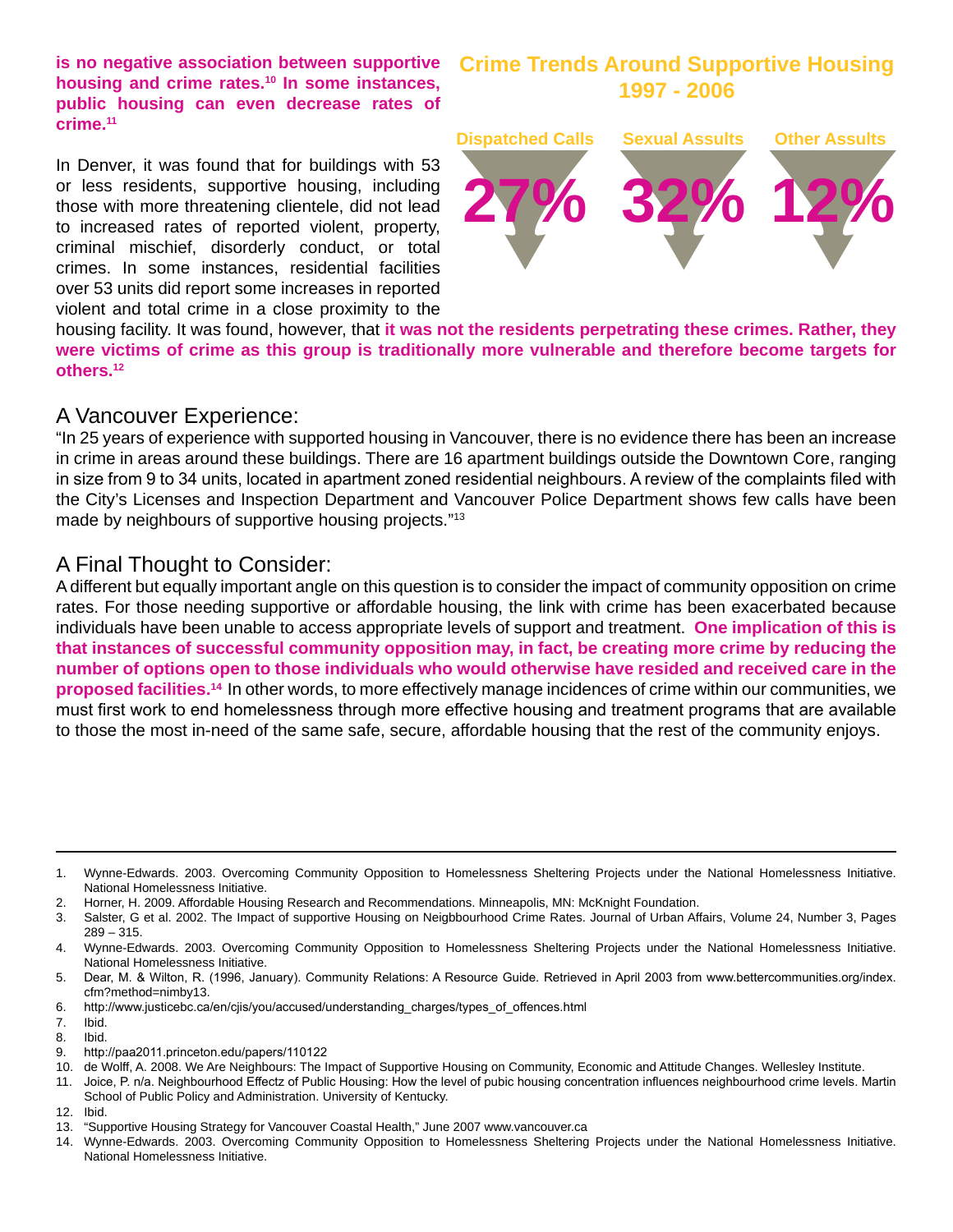**is no negative association between supportive housing and crime rates.10 In some instances, public housing can even decrease rates of crime.11**

In Denver, it was found that for buildings with 53 or less residents, supportive housing, including those with more threatening clientele, did not lead to increased rates of reported violent, property, criminal mischief, disorderly conduct, or total crimes. In some instances, residential facilities over 53 units did report some increases in reported violent and total crime in a close proximity to the

#### **Crime Trends Around Supportive Housing 1997 - 2006**



housing facility. It was found, however, that **it was not the residents perpetrating these crimes. Rather, they were victims of crime as this group is traditionally more vulnerable and therefore become targets for others.12** 

#### A Vancouver Experience:

"In 25 years of experience with supported housing in Vancouver, there is no evidence there has been an increase in crime in areas around these buildings. There are 16 apartment buildings outside the Downtown Core, ranging in size from 9 to 34 units, located in apartment zoned residential neighbours. A review of the complaints filed with the City's Licenses and Inspection Department and Vancouver Police Department shows few calls have been made by neighbours of supportive housing projects."13

#### A Final Thought to Consider:

A different but equally important angle on this question is to consider the impact of community opposition on crime rates. For those needing supportive or affordable housing, the link with crime has been exacerbated because individuals have been unable to access appropriate levels of support and treatment. **One implication of this is that instances of successful community opposition may, in fact, be creating more crime by reducing the number of options open to those individuals who would otherwise have resided and received care in the proposed facilities.14** In other words, to more effectively manage incidences of crime within our communities, we must first work to end homelessness through more effective housing and treatment programs that are available to those the most in-need of the same safe, secure, affordable housing that the rest of the community enjoys.

- 6. http://www.justicebc.ca/en/cjis/you/accused/understanding\_charges/types\_of\_offences.html
- 7. Ibid.
- 8. Ibid.

- 10. de Wolff, A. 2008. We Are Neighbours: The Impact of Supportive Housing on Community, Economic and Attitude Changes. Wellesley Institute.
- 11. Joice, P. n/a. Neighbourhood Effectz of Public Housing: How the level of pubic housing concentration influences neighbourhood crime levels. Martin School of Public Policy and Administration. University of Kentucky.
- 12. Ibid.
- 13. "Supportive Housing Strategy for Vancouver Coastal Health," June 2007 www.vancouver.ca

<sup>1.</sup> Wynne-Edwards. 2003. Overcoming Community Opposition to Homelessness Sheltering Projects under the National Homelessness Initiative. National Homelessness Initiative.

<sup>2.</sup> Horner, H. 2009. Affordable Housing Research and Recommendations. Minneapolis, MN: McKnight Foundation.

<sup>3.</sup> Salster, G et al. 2002. The Impact of supportive Housing on Neigbbourhood Crime Rates. Journal of Urban Affairs, Volume 24, Number 3, Pages 289 – 315.

<sup>4.</sup> Wynne-Edwards. 2003. Overcoming Community Opposition to Homelessness Sheltering Projects under the National Homelessness Initiative. National Homelessness Initiative.

<sup>5.</sup> Dear, M. & Wilton, R. (1996, January). Community Relations: A Resource Guide. Retrieved in April 2003 from www.bettercommunities.org/index. cfm?method=nimby13.

<sup>9.</sup> http://paa2011.princeton.edu/papers/110122

<sup>14.</sup> Wynne-Edwards. 2003. Overcoming Community Opposition to Homelessness Sheltering Projects under the National Homelessness Initiative. National Homelessness Initiative.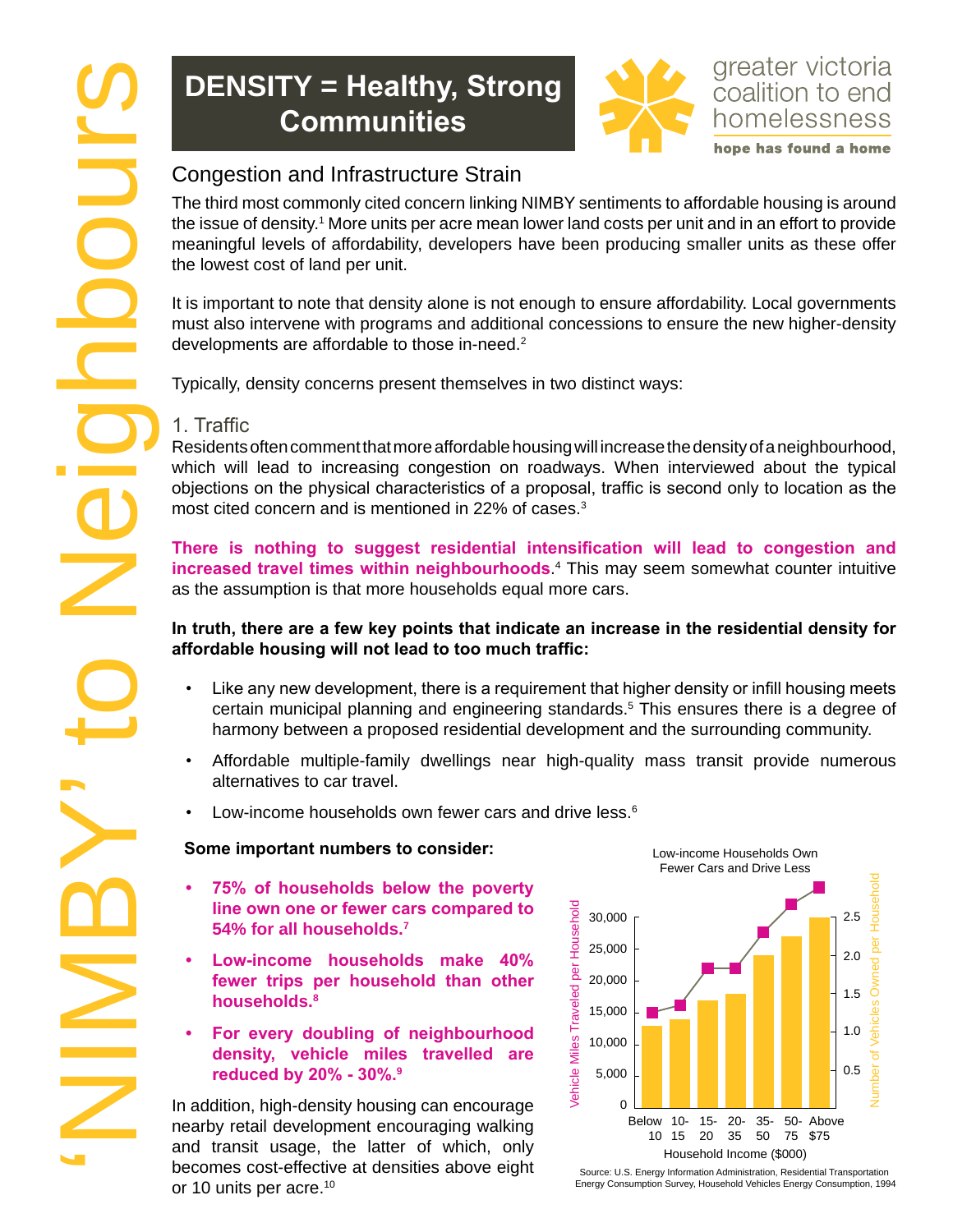# **Density = Healthy, Strong Communities**



hope has found a home

The third most commonly cited concern linking NIMBY sentiments to affordable housing is around the issue of density.<sup>1</sup> More units per acre mean lower land costs per unit and in an effort to provide meaningful levels of affordability, developers have been producing smaller units as these offer the lowest cost of land per unit.

It is important to note that density alone is not enough to ensure affordability. Local governments must also intervene with programs and additional concessions to ensure the new higher-density developments are affordable to those in-need.<sup>2</sup>

Typically, density concerns present themselves in two distinct ways:

### 1. Traffic

Residents often comment that more affordable housing will increase the density of a neighbourhood, which will lead to increasing congestion on roadways. When interviewed about the typical objections on the physical characteristics of a proposal, traffic is second only to location as the most cited concern and is mentioned in 22% of cases.3

**There is nothing to suggest residential intensification will lead to congestion and increased travel times within neighbourhoods**. 4 This may seem somewhat counter intuitive as the assumption is that more households equal more cars.

#### **In truth, there are a few key points that indicate an increase in the residential density for affordable housing will not lead to too much traffic:**

- Like any new development, there is a requirement that higher density or infill housing meets certain municipal planning and engineering standards.5 This ensures there is a degree of harmony between a proposed residential development and the surrounding community.
- Affordable multiple-family dwellings near high-quality mass transit provide numerous alternatives to car travel.
- Low-income households own fewer cars and drive less.<sup>6</sup>

#### **Some important numbers to consider:**

- **• 75% of households below the poverty line own one or fewer cars compared to 54% for all households.7**
- **• Low-income households make 40% fewer trips per household than other households.8**
- **• For every doubling of neighbourhood density, vehicle miles travelled are reduced by 20% - 30%.<sup>9</sup>**

In addition, high-density housing can encourage nearby retail development encouraging walking and transit usage, the latter of which, only becomes cost-effective at densities above eight or 10 units per acre.<sup>10</sup>



Source: U.S. Energy Information Administration, Residential Transportation Energy Consumption Survey, Household Vehicles Energy Consumption, 1994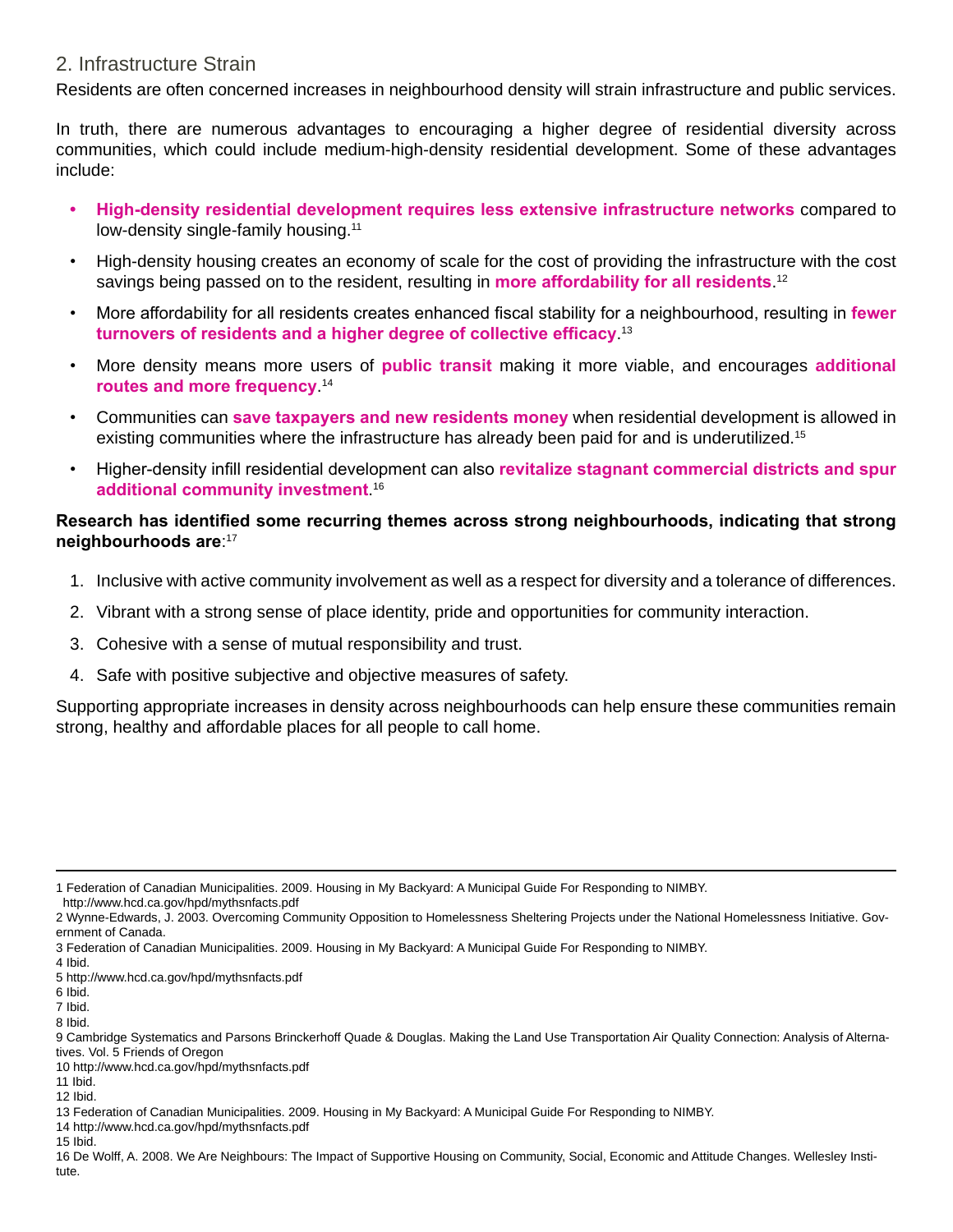#### 2. Infrastructure Strain

Residents are often concerned increases in neighbourhood density will strain infrastructure and public services.

In truth, there are numerous advantages to encouraging a higher degree of residential diversity across communities, which could include medium-high-density residential development. Some of these advantages include:

- **• High-density residential development requires less extensive infrastructure networks** compared to low-density single-family housing.11
- High-density housing creates an economy of scale for the cost of providing the infrastructure with the cost savings being passed on to the resident, resulting in **more affordability for all residents**. 12
- More affordability for all residents creates enhanced fiscal stability for a neighbourhood, resulting in **fewer turnovers of residents and a higher degree of collective efficacy**. 13
- More density means more users of **public transit** making it more viable, and encourages **additional routes and more frequency**. 14
- Communities can **save taxpayers and new residents money** when residential development is allowed in existing communities where the infrastructure has already been paid for and is underutilized.15
- Higher-density infill residential development can also **revitalize stagnant commercial districts and spur additional community investment**. 16

#### **Research has identified some recurring themes across strong neighbourhoods, indicating that strong neighbourhoods are**: 17

- 1. Inclusive with active community involvement as well as a respect for diversity and a tolerance of differences.
- 2. Vibrant with a strong sense of place identity, pride and opportunities for community interaction.
- 3. Cohesive with a sense of mutual responsibility and trust.
- 4. Safe with positive subjective and objective measures of safety.

Supporting appropriate increases in density across neighbourhoods can help ensure these communities remain strong, healthy and affordable places for all people to call home.

<sup>1</sup> Federation of Canadian Municipalities. 2009. Housing in My Backyard: A Municipal Guide For Responding to NIMBY.

http://www.hcd.ca.gov/hpd/mythsnfacts.pdf

<sup>2</sup> Wynne-Edwards, J. 2003. Overcoming Community Opposition to Homelessness Sheltering Projects under the National Homelessness Initiative. Government of Canada.

<sup>3</sup> Federation of Canadian Municipalities. 2009. Housing in My Backyard: A Municipal Guide For Responding to NIMBY.

<sup>4</sup> Ibid.

<sup>5</sup> http://www.hcd.ca.gov/hpd/mythsnfacts.pdf

<sup>6</sup> Ibid.

<sup>7</sup> Ibid.

<sup>8</sup> Ibid.

<sup>9</sup> Cambridge Systematics and Parsons Brinckerhoff Quade & Douglas. Making the Land Use Transportation Air Quality Connection: Analysis of Alternatives. Vol. 5 Friends of Oregon

<sup>10</sup> http://www.hcd.ca.gov/hpd/mythsnfacts.pdf

<sup>11</sup> Ibid. 12 Ibid.

<sup>13</sup> Federation of Canadian Municipalities. 2009. Housing in My Backyard: A Municipal Guide For Responding to NIMBY.

<sup>14</sup> http://www.hcd.ca.gov/hpd/mythsnfacts.pdf

<sup>15</sup> Ibid.

<sup>16</sup> De Wolff, A. 2008. We Are Neighbours: The Impact of Supportive Housing on Community, Social, Economic and Attitude Changes. Wellesley Institute.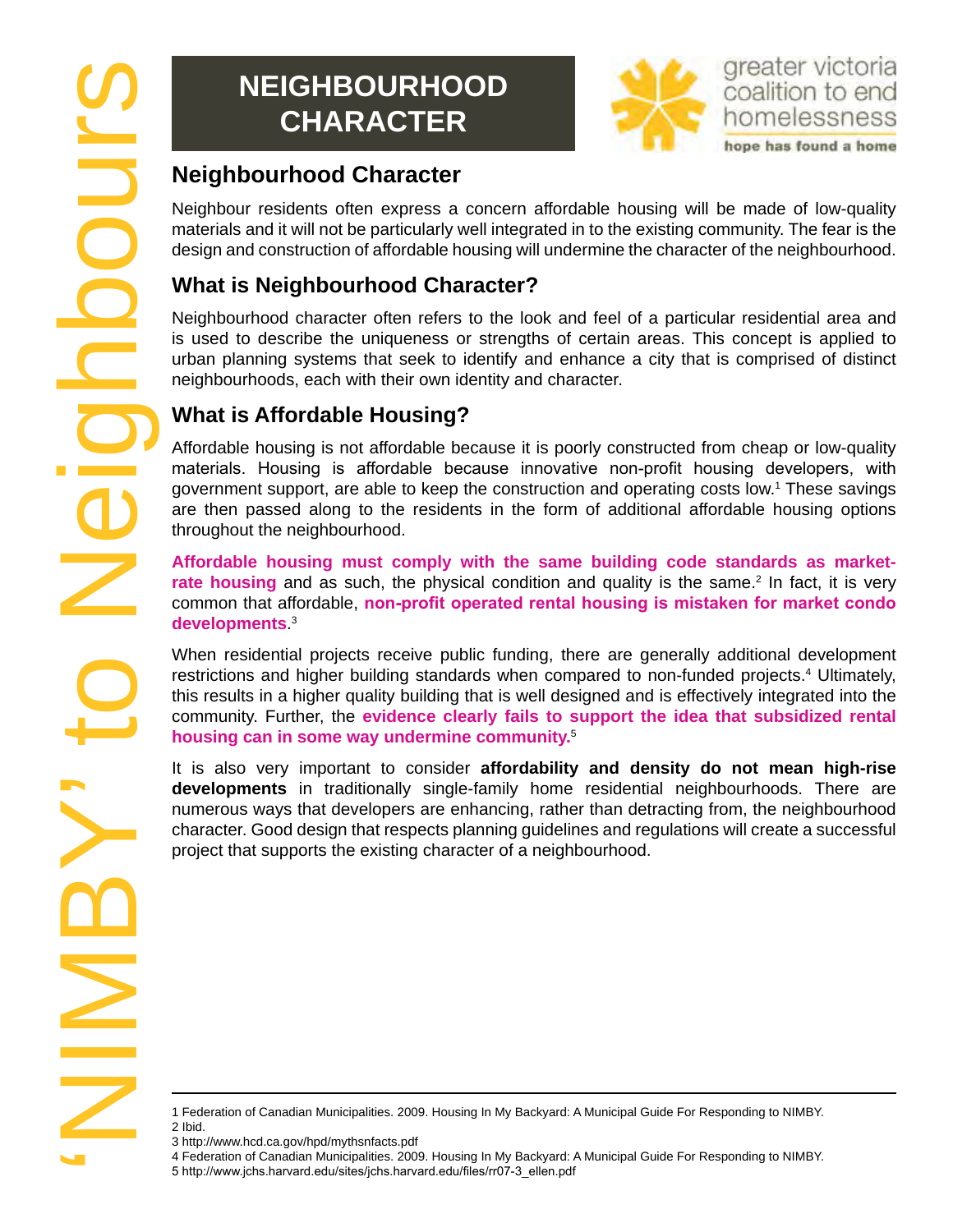# **Neighbourhood CHARACTER**



Neighbour residents often express a concern affordable housing will be made of low-quality materials and it will not be particularly well integrated in to the existing community. The fear is the design and construction of affordable housing will undermine the character of the neighbourhood.

# **What is Neighbourhood Character?**

Neighbourhood character often refers to the look and feel of a particular residential area and is used to describe the uniqueness or strengths of certain areas. This concept is applied to urban planning systems that seek to identify and enhance a city that is comprised of distinct neighbourhoods, each with their own identity and character.

## **What is Affordable Housing?**

Affordable housing is not affordable because it is poorly constructed from cheap or low-quality materials. Housing is affordable because innovative non-profit housing developers, with government support, are able to keep the construction and operating costs low.1 These savings are then passed along to the residents in the form of additional affordable housing options throughout the neighbourhood.

**Affordable housing must comply with the same building code standards as market**rate housing and as such, the physical condition and quality is the same.<sup>2</sup> In fact, it is very common that affordable, **non-profit operated rental housing is mistaken for market condo developments**. 3

When residential projects receive public funding, there are generally additional development restrictions and higher building standards when compared to non-funded projects.<sup>4</sup> Ultimately, this results in a higher quality building that is well designed and is effectively integrated into the community. Further, the **evidence clearly fails to support the idea that subsidized rental housing can in some way undermine community.**<sup>5</sup>

It is also very important to consider **affordability and density do not mean high-rise developments** in traditionally single-family home residential neighbourhoods. There are numerous ways that developers are enhancing, rather than detracting from, the neighbourhood character. Good design that respects planning guidelines and regulations will create a successful project that supports the existing character of a neighbourhood.

<sup>1</sup> Federation of Canadian Municipalities. 2009. Housing In My Backyard: A Municipal Guide For Responding to NIMBY. 2 Ibid.

<sup>3</sup> http://www.hcd.ca.gov/hpd/mythsnfacts.pdf

<sup>4</sup> Federation of Canadian Municipalities. 2009. Housing In My Backyard: A Municipal Guide For Responding to NIMBY.

<sup>5</sup> http://www.jchs.harvard.edu/sites/jchs.harvard.edu/files/rr07-3\_ellen.pdf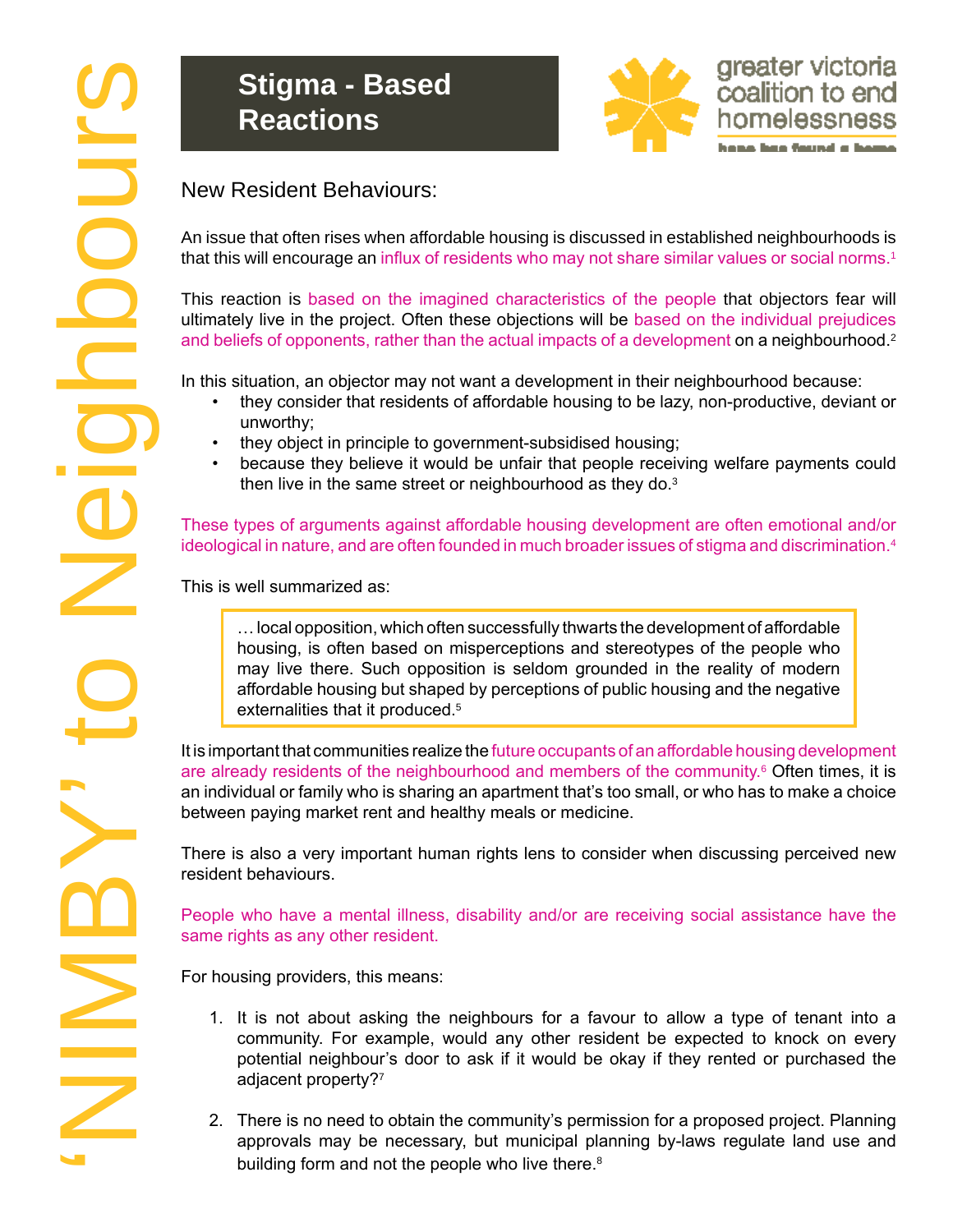# **Stigma - Based Reactions**



An issue that often rises when affordable housing is discussed in established neighbourhoods is that this will encourage an influx of residents who may not share similar values or social norms.<sup>1</sup>

This reaction is based on the imagined characteristics of the people that objectors fear will ultimately live in the project. Often these objections will be based on the individual prejudices and beliefs of opponents, rather than the actual impacts of a development on a neighbourhood.<sup>2</sup>

In this situation, an objector may not want a development in their neighbourhood because:

- they consider that residents of affordable housing to be lazy, non-productive, deviant or unworthy;
- they object in principle to government-subsidised housing;
- because they believe it would be unfair that people receiving welfare payments could then live in the same street or neighbourhood as they do.<sup>3</sup>

These types of arguments against affordable housing development are often emotional and/or ideological in nature, and are often founded in much broader issues of stigma and discrimination.<sup>4</sup>

This is well summarized as:

… local opposition, which often successfully thwarts the development of affordable housing, is often based on misperceptions and stereotypes of the people who may live there. Such opposition is seldom grounded in the reality of modern affordable housing but shaped by perceptions of public housing and the negative externalities that it produced.<sup>5</sup>

It is important that communities realize the future occupants of an affordable housing development are already residents of the neighbourhood and members of the community.<sup>6</sup> Often times, it is an individual or family who is sharing an apartment that's too small, or who has to make a choice between paying market rent and healthy meals or medicine.

There is also a very important human rights lens to consider when discussing perceived new resident behaviours.

People who have a mental illness, disability and/or are receiving social assistance have the same rights as any other resident.

For housing providers, this means:

- 1. It is not about asking the neighbours for a favour to allow a type of tenant into a community. For example, would any other resident be expected to knock on every potential neighbour's door to ask if it would be okay if they rented or purchased the adjacent property?<sup>7</sup>
- 2. There is no need to obtain the community's permission for a proposed project. Planning approvals may be necessary, but municipal planning by-laws regulate land use and building form and not the people who live there.<sup>8</sup>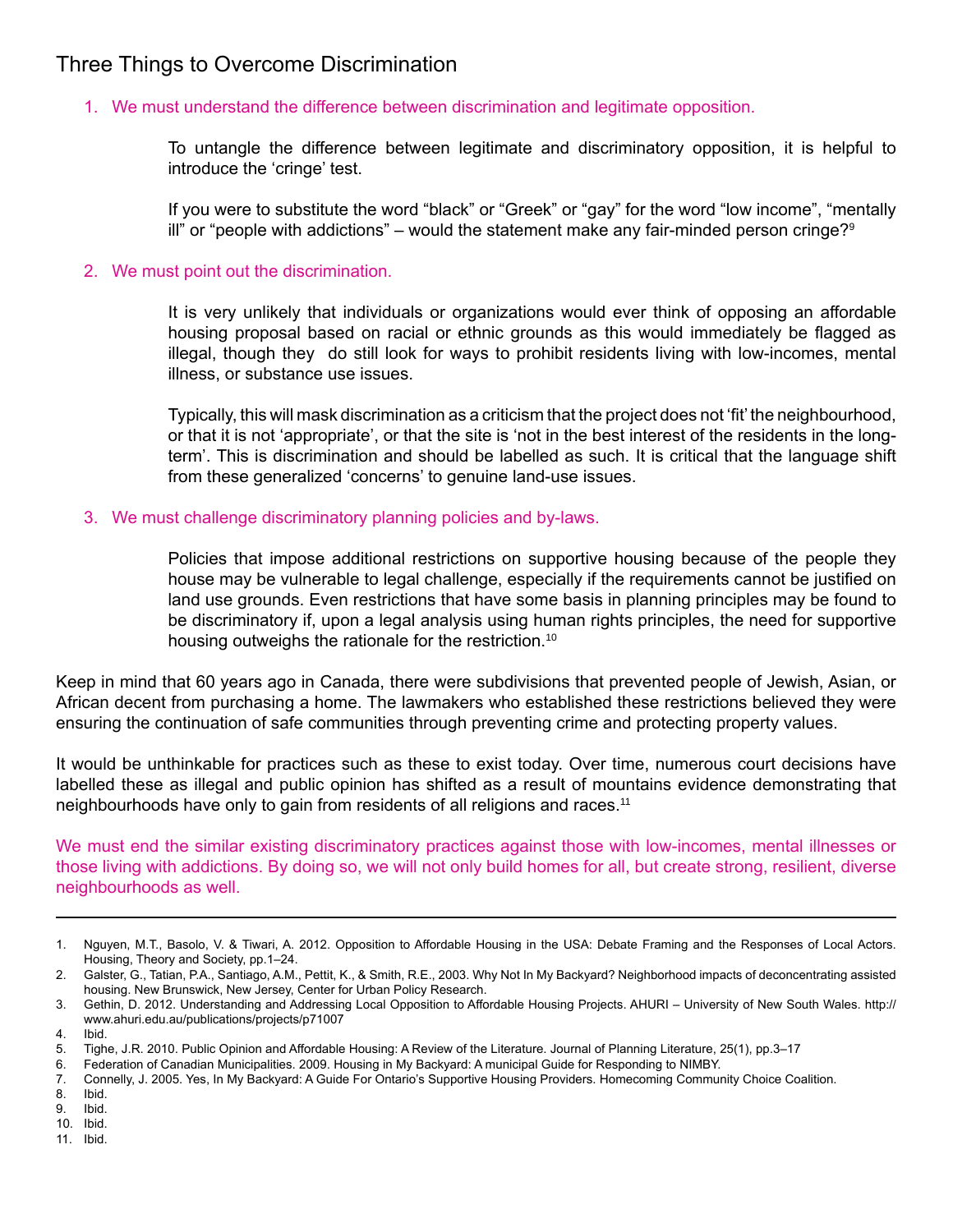## Three Things to Overcome Discrimination

#### 1. We must understand the difference between discrimination and legitimate opposition.

To untangle the difference between legitimate and discriminatory opposition, it is helpful to introduce the 'cringe' test.

If you were to substitute the word "black" or "Greek" or "gay" for the word "low income", "mentally ill" or "people with addictions" – would the statement make any fair-minded person cringe?<sup>9</sup>

#### 2. We must point out the discrimination.

It is very unlikely that individuals or organizations would ever think of opposing an affordable housing proposal based on racial or ethnic grounds as this would immediately be flagged as illegal, though they do still look for ways to prohibit residents living with low-incomes, mental illness, or substance use issues.

Typically, this will mask discrimination as a criticism that the project does not 'fit' the neighbourhood, or that it is not 'appropriate', or that the site is 'not in the best interest of the residents in the longterm'. This is discrimination and should be labelled as such. It is critical that the language shift from these generalized 'concerns' to genuine land-use issues.

#### 3. We must challenge discriminatory planning policies and by-laws.

Policies that impose additional restrictions on supportive housing because of the people they house may be vulnerable to legal challenge, especially if the requirements cannot be justified on land use grounds. Even restrictions that have some basis in planning principles may be found to be discriminatory if, upon a legal analysis using human rights principles, the need for supportive housing outweighs the rationale for the restriction.<sup>10</sup>

Keep in mind that 60 years ago in Canada, there were subdivisions that prevented people of Jewish, Asian, or African decent from purchasing a home. The lawmakers who established these restrictions believed they were ensuring the continuation of safe communities through preventing crime and protecting property values.

It would be unthinkable for practices such as these to exist today. Over time, numerous court decisions have labelled these as illegal and public opinion has shifted as a result of mountains evidence demonstrating that neighbourhoods have only to gain from residents of all religions and races.11

We must end the similar existing discriminatory practices against those with low-incomes, mental illnesses or those living with addictions. By doing so, we will not only build homes for all, but create strong, resilient, diverse neighbourhoods as well.

8. Ibid.

9. Ibid.

10. Ibid. 11. Ibid.

<sup>1.</sup> Nguyen, M.T., Basolo, V. & Tiwari, A. 2012. Opposition to Affordable Housing in the USA: Debate Framing and the Responses of Local Actors. Housing, Theory and Society, pp.1–24.

<sup>2.</sup> Galster, G., Tatian, P.A., Santiago, A.M., Pettit, K., & Smith, R.E., 2003. Why Not In My Backyard? Neighborhood impacts of deconcentrating assisted housing. New Brunswick, New Jersey, Center for Urban Policy Research.

<sup>3.</sup> Gethin, D. 2012. Understanding and Addressing Local Opposition to Affordable Housing Projects. AHURI – University of New South Wales. http:// www.ahuri.edu.au/publications/projects/p71007

<sup>4.</sup> Ibid.

<sup>5.</sup> Tighe, J.R. 2010. Public Opinion and Affordable Housing: A Review of the Literature. Journal of Planning Literature, 25(1), pp.3–17

<sup>6.</sup> Federation of Canadian Municipalities. 2009. Housing in My Backyard: A municipal Guide for Responding to NIMBY.

<sup>7.</sup> Connelly, J. 2005. Yes, In My Backyard: A Guide For Ontario's Supportive Housing Providers. Homecoming Community Choice Coalition.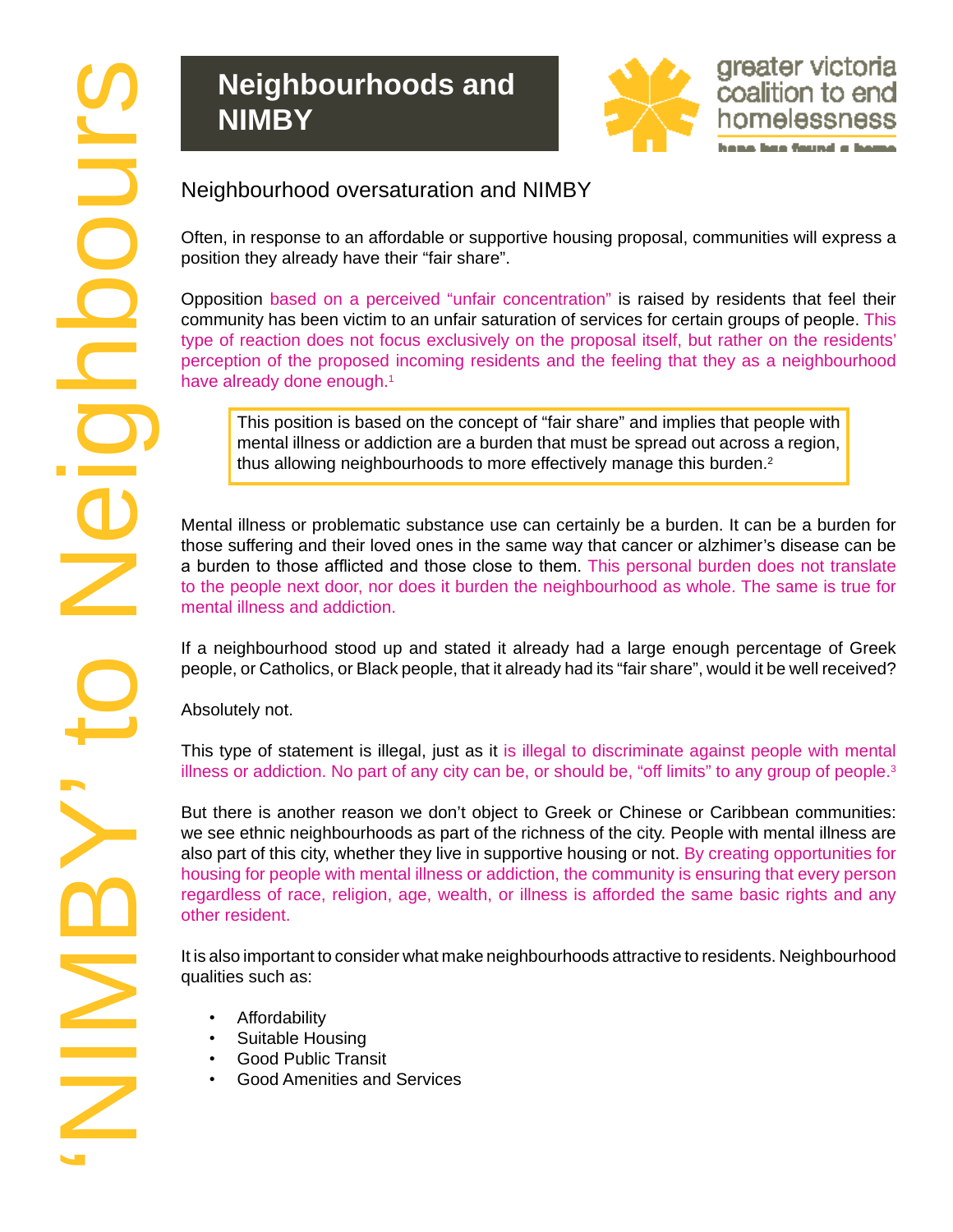# **Neighbourhoods and NIMBY**



Often, in response to an affordable or supportive housing proposal, communities will express a position they already have their "fair share".

Opposition based on a perceived "unfair concentration" is raised by residents that feel their community has been victim to an unfair saturation of services for certain groups of people. This type of reaction does not focus exclusively on the proposal itself, but rather on the residents' perception of the proposed incoming residents and the feeling that they as a neighbourhood have already done enough.<sup>1</sup>

This position is based on the concept of "fair share" and implies that people with mental illness or addiction are a burden that must be spread out across a region, thus allowing neighbourhoods to more effectively manage this burden.<sup>2</sup>

Mental illness or problematic substance use can certainly be a burden. It can be a burden for those suffering and their loved ones in the same way that cancer or alzhimer's disease can be a burden to those afflicted and those close to them. This personal burden does not translate to the people next door, nor does it burden the neighbourhood as whole. The same is true for mental illness and addiction.

If a neighbourhood stood up and stated it already had a large enough percentage of Greek people, or Catholics, or Black people, that it already had its "fair share", would it be well received?

Absolutely not.

This type of statement is illegal, just as it is illegal to discriminate against people with mental illness or addiction. No part of any city can be, or should be, "off limits" to any group of people. $3$ 

But there is another reason we don't object to Greek or Chinese or Caribbean communities: we see ethnic neighbourhoods as part of the richness of the city. People with mental illness are also part of this city, whether they live in supportive housing or not. By creating opportunities for housing for people with mental illness or addiction, the community is ensuring that every person regardless of race, religion, age, wealth, or illness is afforded the same basic rights and any other resident.

It is also important to consider what make neighbourhoods attractive to residents. Neighbourhood qualities such as:

- Affordability
- Suitable Housing
- Good Public Transit
- Good Amenities and Services